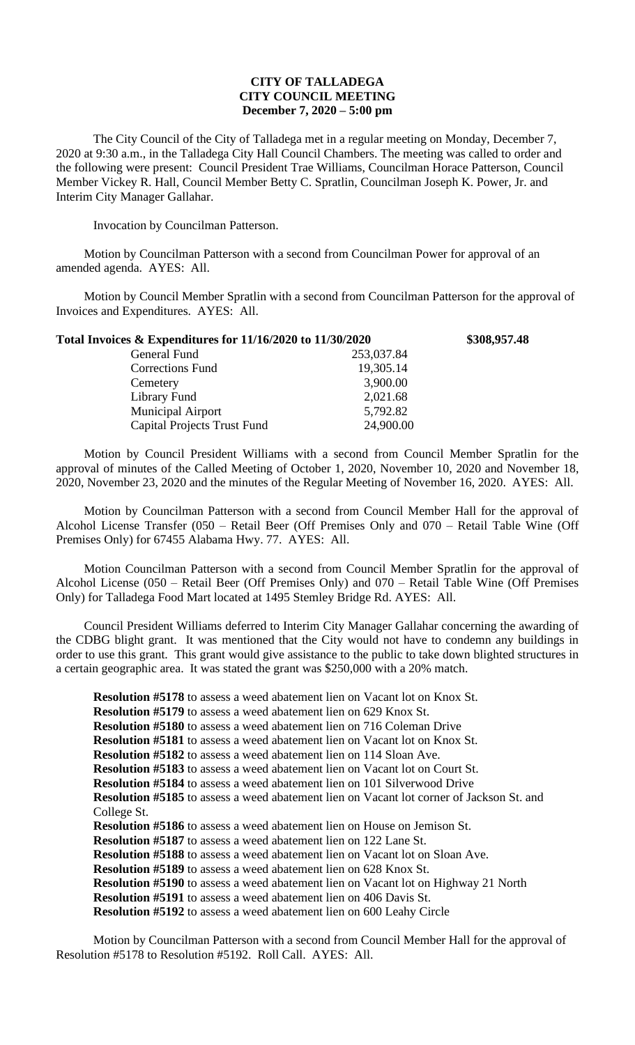## **CITY OF TALLADEGA CITY COUNCIL MEETING December 7, 2020 – 5:00 pm**

The City Council of the City of Talladega met in a regular meeting on Monday, December 7, 2020 at 9:30 a.m., in the Talladega City Hall Council Chambers. The meeting was called to order and the following were present: Council President Trae Williams, Councilman Horace Patterson, Council Member Vickey R. Hall, Council Member Betty C. Spratlin, Councilman Joseph K. Power, Jr. and Interim City Manager Gallahar.

Invocation by Councilman Patterson.

Motion by Councilman Patterson with a second from Councilman Power for approval of an amended agenda. AYES: All.

Motion by Council Member Spratlin with a second from Councilman Patterson for the approval of Invoices and Expenditures. AYES: All.

| Total Invoices & Expenditures for 11/16/2020 to 11/30/2020 |            | \$308,957.48 |
|------------------------------------------------------------|------------|--------------|
| General Fund                                               | 253,037.84 |              |
| <b>Corrections Fund</b>                                    | 19,305.14  |              |
| Cemetery                                                   | 3,900.00   |              |
| Library Fund                                               | 2,021.68   |              |
| <b>Municipal Airport</b>                                   | 5,792.82   |              |
| <b>Capital Projects Trust Fund</b>                         | 24,900.00  |              |

Motion by Council President Williams with a second from Council Member Spratlin for the approval of minutes of the Called Meeting of October 1, 2020, November 10, 2020 and November 18, 2020, November 23, 2020 and the minutes of the Regular Meeting of November 16, 2020. AYES: All.

Motion by Councilman Patterson with a second from Council Member Hall for the approval of Alcohol License Transfer (050 – Retail Beer (Off Premises Only and 070 – Retail Table Wine (Off Premises Only) for 67455 Alabama Hwy. 77. AYES: All.

Motion Councilman Patterson with a second from Council Member Spratlin for the approval of Alcohol License (050 – Retail Beer (Off Premises Only) and 070 – Retail Table Wine (Off Premises Only) for Talladega Food Mart located at 1495 Stemley Bridge Rd. AYES: All.

Council President Williams deferred to Interim City Manager Gallahar concerning the awarding of the CDBG blight grant. It was mentioned that the City would not have to condemn any buildings in order to use this grant. This grant would give assistance to the public to take down blighted structures in a certain geographic area. It was stated the grant was \$250,000 with a 20% match.

**Resolution #5178** to assess a weed abatement lien on Vacant lot on Knox St. **Resolution #5179** to assess a weed abatement lien on 629 Knox St. **Resolution #5180** to assess a weed abatement lien on 716 Coleman Drive **Resolution #5181** to assess a weed abatement lien on Vacant lot on Knox St. **Resolution #5182** to assess a weed abatement lien on 114 Sloan Ave. **Resolution #5183** to assess a weed abatement lien on Vacant lot on Court St. **Resolution #5184** to assess a weed abatement lien on 101 Silverwood Drive **Resolution #5185** to assess a weed abatement lien on Vacant lot corner of Jackson St. and College St. **Resolution #5186** to assess a weed abatement lien on House on Jemison St. **Resolution #5187** to assess a weed abatement lien on 122 Lane St. **Resolution #5188** to assess a weed abatement lien on Vacant lot on Sloan Ave. **Resolution #5189** to assess a weed abatement lien on 628 Knox St. **Resolution #5190** to assess a weed abatement lien on Vacant lot on Highway 21 North **Resolution #5191** to assess a weed abatement lien on 406 Davis St. **Resolution #5192** to assess a weed abatement lien on 600 Leahy Circle

Motion by Councilman Patterson with a second from Council Member Hall for the approval of Resolution #5178 to Resolution #5192. Roll Call. AYES: All.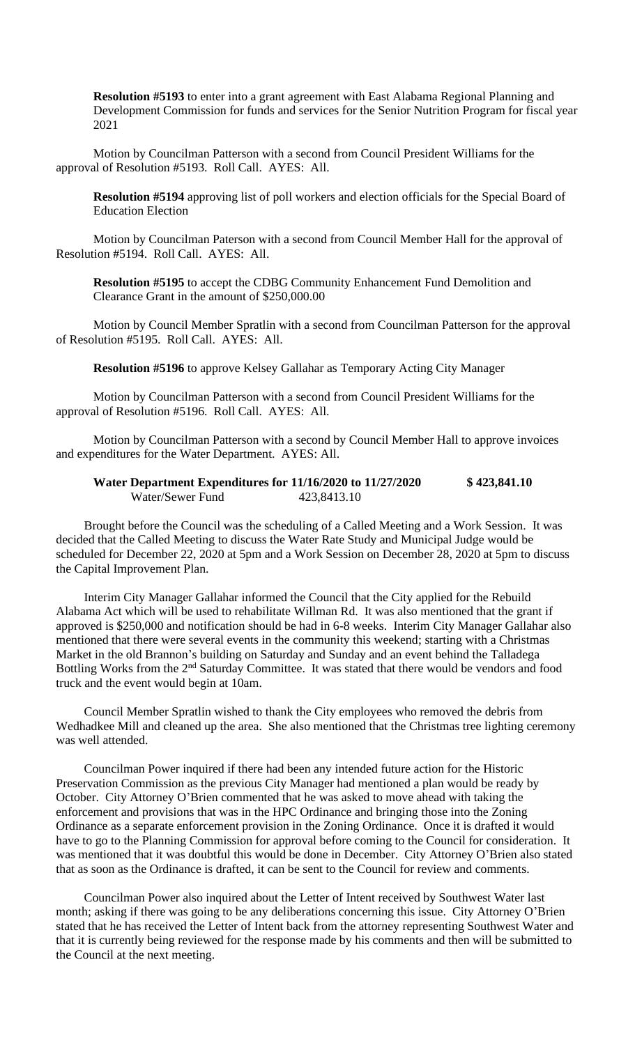**Resolution #5193** to enter into a grant agreement with East Alabama Regional Planning and Development Commission for funds and services for the Senior Nutrition Program for fiscal year 2021

Motion by Councilman Patterson with a second from Council President Williams for the approval of Resolution #5193. Roll Call. AYES: All.

**Resolution #5194** approving list of poll workers and election officials for the Special Board of Education Election

Motion by Councilman Paterson with a second from Council Member Hall for the approval of Resolution #5194. Roll Call. AYES: All.

**Resolution #5195** to accept the CDBG Community Enhancement Fund Demolition and Clearance Grant in the amount of \$250,000.00

Motion by Council Member Spratlin with a second from Councilman Patterson for the approval of Resolution #5195. Roll Call. AYES: All.

**Resolution #5196** to approve Kelsey Gallahar as Temporary Acting City Manager

Motion by Councilman Patterson with a second from Council President Williams for the approval of Resolution #5196. Roll Call. AYES: All.

Motion by Councilman Patterson with a second by Council Member Hall to approve invoices and expenditures for the Water Department. AYES: All.

## **Water Department Expenditures for 11/16/2020 to 11/27/2020 \$ 423,841.10** Water/Sewer Fund 423,8413.10

Brought before the Council was the scheduling of a Called Meeting and a Work Session. It was decided that the Called Meeting to discuss the Water Rate Study and Municipal Judge would be scheduled for December 22, 2020 at 5pm and a Work Session on December 28, 2020 at 5pm to discuss the Capital Improvement Plan.

Interim City Manager Gallahar informed the Council that the City applied for the Rebuild Alabama Act which will be used to rehabilitate Willman Rd. It was also mentioned that the grant if approved is \$250,000 and notification should be had in 6-8 weeks. Interim City Manager Gallahar also mentioned that there were several events in the community this weekend; starting with a Christmas Market in the old Brannon's building on Saturday and Sunday and an event behind the Talladega Bottling Works from the 2<sup>nd</sup> Saturday Committee. It was stated that there would be vendors and food truck and the event would begin at 10am.

Council Member Spratlin wished to thank the City employees who removed the debris from Wedhadkee Mill and cleaned up the area. She also mentioned that the Christmas tree lighting ceremony was well attended.

Councilman Power inquired if there had been any intended future action for the Historic Preservation Commission as the previous City Manager had mentioned a plan would be ready by October. City Attorney O'Brien commented that he was asked to move ahead with taking the enforcement and provisions that was in the HPC Ordinance and bringing those into the Zoning Ordinance as a separate enforcement provision in the Zoning Ordinance. Once it is drafted it would have to go to the Planning Commission for approval before coming to the Council for consideration. It was mentioned that it was doubtful this would be done in December. City Attorney O'Brien also stated that as soon as the Ordinance is drafted, it can be sent to the Council for review and comments.

Councilman Power also inquired about the Letter of Intent received by Southwest Water last month; asking if there was going to be any deliberations concerning this issue. City Attorney O'Brien stated that he has received the Letter of Intent back from the attorney representing Southwest Water and that it is currently being reviewed for the response made by his comments and then will be submitted to the Council at the next meeting.